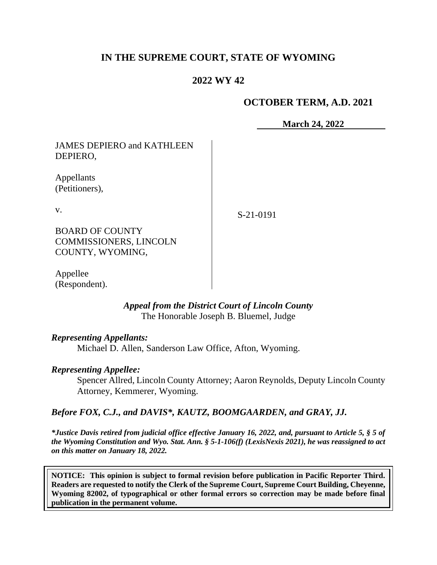# **IN THE SUPREME COURT, STATE OF WYOMING**

# **2022 WY 42**

### **OCTOBER TERM, A.D. 2021**

**March 24, 2022**

JAMES DEPIERO and KATHLEEN DEPIERO,

Appellants (Petitioners),

v.

S-21-0191

BOARD OF COUNTY COMMISSIONERS, LINCOLN COUNTY, WYOMING,

Appellee (Respondent).

> *Appeal from the District Court of Lincoln County* The Honorable Joseph B. Bluemel, Judge

#### *Representing Appellants:*

Michael D. Allen, Sanderson Law Office, Afton, Wyoming.

### *Representing Appellee:*

Spencer Allred, Lincoln County Attorney; Aaron Reynolds, Deputy Lincoln County Attorney, Kemmerer, Wyoming.

### *Before FOX, C.J., and DAVIS\*, KAUTZ, BOOMGAARDEN, and GRAY, JJ.*

*\*Justice Davis retired from judicial office effective January 16, 2022, and, pursuant to Article 5, § 5 of the Wyoming Constitution and Wyo. Stat. Ann. § 5-1-106(f) (LexisNexis 2021), he was reassigned to act on this matter on January 18, 2022.*

**NOTICE: This opinion is subject to formal revision before publication in Pacific Reporter Third. Readers are requested to notify the Clerk of the Supreme Court, Supreme Court Building, Cheyenne, Wyoming 82002, of typographical or other formal errors so correction may be made before final publication in the permanent volume.**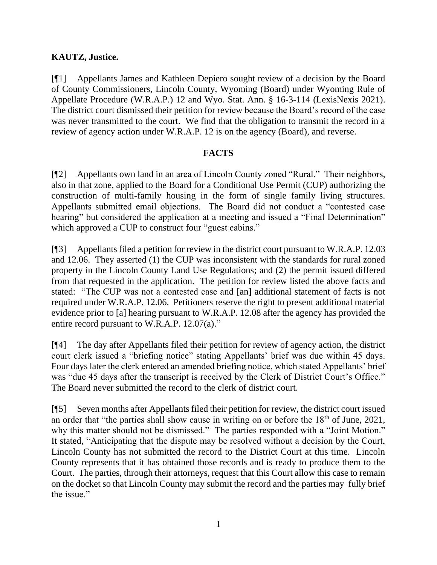### **KAUTZ, Justice.**

[¶1] Appellants James and Kathleen Depiero sought review of a decision by the Board of County Commissioners, Lincoln County, Wyoming (Board) under Wyoming Rule of Appellate Procedure (W.R.A.P.) 12 and Wyo. Stat. Ann. § 16-3-114 (LexisNexis 2021). The district court dismissed their petition for review because the Board's record of the case was never transmitted to the court. We find that the obligation to transmit the record in a review of agency action under W.R.A.P. 12 is on the agency (Board), and reverse.

### **FACTS**

[¶2] Appellants own land in an area of Lincoln County zoned "Rural." Their neighbors, also in that zone, applied to the Board for a Conditional Use Permit (CUP) authorizing the construction of multi-family housing in the form of single family living structures. Appellants submitted email objections. The Board did not conduct a "contested case hearing" but considered the application at a meeting and issued a "Final Determination" which approved a CUP to construct four "guest cabins."

[¶3] Appellants filed a petition for review in the district court pursuant to W.R.A.P. 12.03 and 12.06. They asserted (1) the CUP was inconsistent with the standards for rural zoned property in the Lincoln County Land Use Regulations; and (2) the permit issued differed from that requested in the application. The petition for review listed the above facts and stated: "The CUP was not a contested case and [an] additional statement of facts is not required under W.R.A.P. 12.06. Petitioners reserve the right to present additional material evidence prior to [a] hearing pursuant to W.R.A.P. 12.08 after the agency has provided the entire record pursuant to W.R.A.P. 12.07(a)."

[¶4] The day after Appellants filed their petition for review of agency action, the district court clerk issued a "briefing notice" stating Appellants' brief was due within 45 days. Four days later the clerk entered an amended briefing notice, which stated Appellants' brief was "due 45 days after the transcript is received by the Clerk of District Court's Office." The Board never submitted the record to the clerk of district court.

[¶5] Seven months after Appellants filed their petition for review, the district court issued an order that "the parties shall show cause in writing on or before the 18<sup>th</sup> of June, 2021, why this matter should not be dismissed." The parties responded with a "Joint Motion." It stated, "Anticipating that the dispute may be resolved without a decision by the Court, Lincoln County has not submitted the record to the District Court at this time. Lincoln County represents that it has obtained those records and is ready to produce them to the Court. The parties, through their attorneys, request that this Court allow this case to remain on the docket so that Lincoln County may submit the record and the parties may fully brief the issue."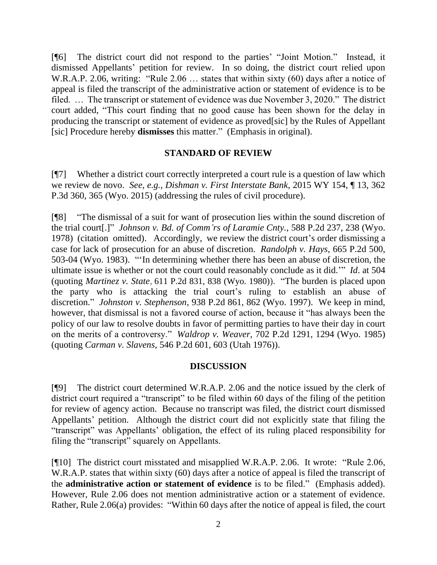[¶6] The district court did not respond to the parties' "Joint Motion." Instead, it dismissed Appellants' petition for review. In so doing, the district court relied upon W.R.A.P. 2.06, writing: "Rule 2.06 … states that within sixty (60) days after a notice of appeal is filed the transcript of the administrative action or statement of evidence is to be filed. … The transcript or statement of evidence was due November 3, 2020." The district court added, "This court finding that no good cause has been shown for the delay in producing the transcript or statement of evidence as proved[sic] by the Rules of Appellant [sic] Procedure hereby **dismisses** this matter." (Emphasis in original).

#### **STANDARD OF REVIEW**

[¶7] Whether a district court correctly interpreted a court rule is a question of law which we review de novo. *See, e.g., Dishman v. First Interstate Bank*, 2015 WY 154, ¶ 13, 362 P.3d 360, 365 (Wyo. 2015) (addressing the rules of civil procedure).

[¶8] "The dismissal of a suit for want of prosecution lies within the sound discretion of the trial court[.]" *Johnson v. Bd. of Comm'rs of Laramie Cnty.*, 588 P.2d 237, 238 (Wyo. 1978) (citation omitted). Accordingly, we review the district court's order dismissing a case for lack of prosecution for an abuse of discretion. *Randolph v. Hays*, 665 P.2d 500, 503-04 (Wyo. 1983). "'In determining whether there has been an abuse of discretion, the ultimate issue is whether or not the court could reasonably conclude as it did.'" *Id*. at 504 (quoting *Martinez v. State,* 611 P.2d 831, 838 (Wyo. 1980)). "The burden is placed upon the party who is attacking the trial court's ruling to establish an abuse of discretion." *Johnston v. Stephenson*, 938 P.2d 861, 862 (Wyo. 1997). We keep in mind, however, that dismissal is not a favored course of action, because it "has always been the policy of our law to resolve doubts in favor of permitting parties to have their day in court on the merits of a controversy." *Waldrop v. Weaver*, 702 P.2d 1291, 1294 (Wyo. 1985) (quoting *Carman v. Slavens*, 546 P.2d 601, 603 (Utah 1976)).

### **DISCUSSION**

[¶9] The district court determined W.R.A.P. 2.06 and the notice issued by the clerk of district court required a "transcript" to be filed within 60 days of the filing of the petition for review of agency action. Because no transcript was filed, the district court dismissed Appellants' petition. Although the district court did not explicitly state that filing the "transcript" was Appellants' obligation, the effect of its ruling placed responsibility for filing the "transcript" squarely on Appellants.

[¶10] The district court misstated and misapplied W.R.A.P. 2.06. It wrote: "Rule 2.06, W.R.A.P. states that within sixty (60) days after a notice of appeal is filed the transcript of the **administrative action or statement of evidence** is to be filed." (Emphasis added). However, Rule 2.06 does not mention administrative action or a statement of evidence. Rather, Rule 2.06(a) provides: "Within 60 days after the notice of appeal is filed, the court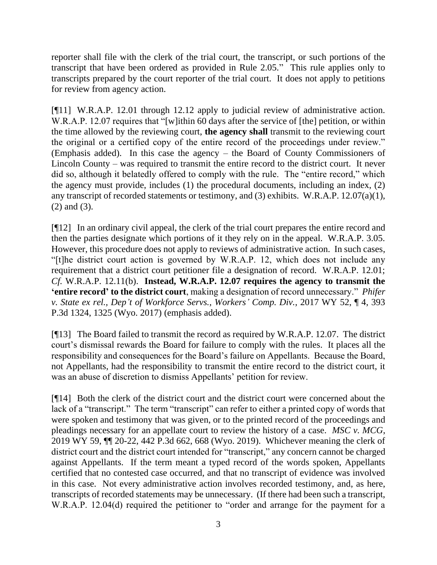reporter shall file with the clerk of the trial court, the transcript, or such portions of the transcript that have been ordered as provided in Rule 2.05." This rule applies only to transcripts prepared by the court reporter of the trial court. It does not apply to petitions for review from agency action.

[¶11] W.R.A.P. 12.01 through 12.12 apply to judicial review of administrative action. W.R.A.P. 12.07 requires that "[w]ithin 60 days after the service of [the] petition, or within the time allowed by the reviewing court, **the agency shall** transmit to the reviewing court the original or a certified copy of the entire record of the proceedings under review." (Emphasis added). In this case the agency – the Board of County Commissioners of Lincoln County – was required to transmit the entire record to the district court. It never did so, although it belatedly offered to comply with the rule. The "entire record," which the agency must provide, includes (1) the procedural documents, including an index, (2) any transcript of recorded statements or testimony, and (3) exhibits. W.R.A.P. 12.07(a)(1), (2) and (3).

[¶12] In an ordinary civil appeal, the clerk of the trial court prepares the entire record and then the parties designate which portions of it they rely on in the appeal. W.R.A.P. 3.05. However, this procedure does not apply to reviews of administrative action. In such cases, "[t]he district court action is governed by W.R.A.P. 12, which does not include any requirement that a district court petitioner file a designation of record. W.R.A.P. 12.01; *Cf.* W.R.A.P. 12.11(b). **Instead, W.R.A.P. 12.07 requires the agency to transmit the 'entire record' to the district court**, making a designation of record unnecessary." *Phifer v. State ex rel., Dep't of Workforce Servs., Workers' Comp. Div.*, 2017 WY 52, ¶ 4, 393 P.3d 1324, 1325 (Wyo. 2017) (emphasis added).

[¶13] The Board failed to transmit the record as required by W.R.A.P. 12.07. The district court's dismissal rewards the Board for failure to comply with the rules. It places all the responsibility and consequences for the Board's failure on Appellants. Because the Board, not Appellants, had the responsibility to transmit the entire record to the district court, it was an abuse of discretion to dismiss Appellants' petition for review.

[¶14] Both the clerk of the district court and the district court were concerned about the lack of a "transcript." The term "transcript" can refer to either a printed copy of words that were spoken and testimony that was given, or to the printed record of the proceedings and pleadings necessary for an appellate court to review the history of a case. *MSC v. MCG*, 2019 WY 59, ¶¶ 20-22, 442 P.3d 662, 668 (Wyo. 2019). Whichever meaning the clerk of district court and the district court intended for "transcript," any concern cannot be charged against Appellants. If the term meant a typed record of the words spoken, Appellants certified that no contested case occurred, and that no transcript of evidence was involved in this case. Not every administrative action involves recorded testimony, and, as here, transcripts of recorded statements may be unnecessary. (If there had been such a transcript, W.R.A.P. 12.04(d) required the petitioner to "order and arrange for the payment for a